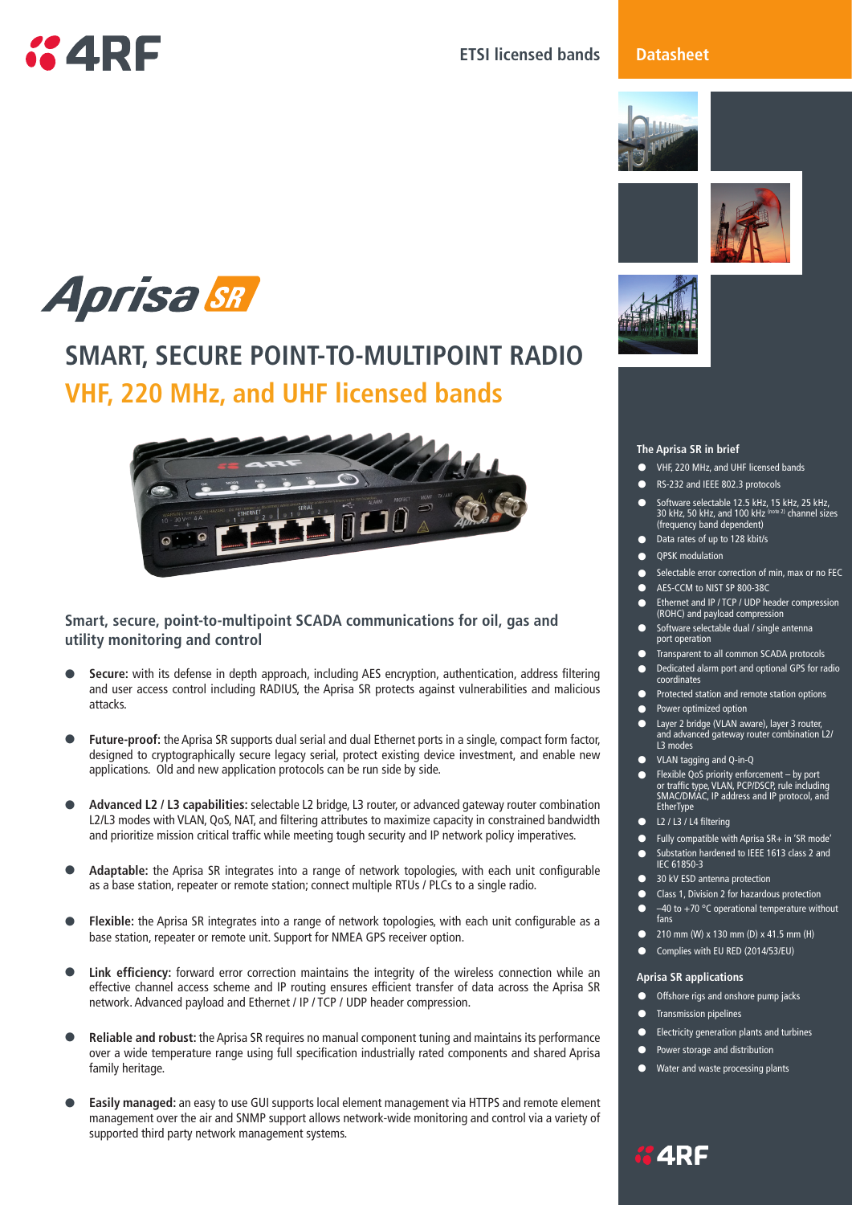

### **ETSI licensed bands**

### **Datasheet**









### **The Aprisa SR in brief**

- **•** VHF, 220 MHz, and UHF licensed bands
- **RS-232 and IEEE 802.3 protocols**
- Software selectable 12.5 kHz, 15 kHz, 25 kHz, 30 kHz, 50 kHz, and 100 kHz (note 2) channel sizes (frequency band dependent)
- **•**  Data rates of up to 128 kbit/s
- **•** QPSK modulation
- Selectable error correction of min, max or no FEC<br>• AFS-CCM to NIST SP 800-38C
- AES-CCM to NIST SP 800-38C<br>● Ethernet and IP / TCP / UDP he
- **•**  Ethernet and IP / TCP / UDP header compression (ROHC) and payload compression
- **•**  Software selectable dual / single antenna port operation
- **•** Transparent to all common SCADA protocols<br>• Dedicated alarm port and optional GPS for ra
- **•**  Dedicated alarm port and optional GPS for radio coordinates
- **•** Protected station and remote station options
- **•** Power optimized option<br>• Laver 2 bridge (VLAN aw
- **•**  Layer 2 bridge (VLAN aware), layer 3 router, and advanced gateway router combination L2/ L3 modes
- **•**  VLAN tagging and Q-in-Q
- **•** Flexible QoS priority enforcement by port or traffic type, VLAN, PCP/DSCP, rule including SMAC/DMAC, IP address and IP protocol, and **EtherType**
- **•**  L2 / L3 / L4 filtering
- **•**  Fully compatible with Aprisa SR+ in 'SR mode'
- **•**  Substation hardened to IEEE 1613 class 2 and IEC 61850-3
- **130 kV ESD antenna protection**
- Class 1, Division 2 for hazardous protection<br>● -40 to +70 °C operational temperature with -40 to +70 °C operational temperature without
- fans
- **•**  210 mm (W) x 130 mm (D) x 41.5 mm (H)
- **•** Complies with EU RED (2014/53/EU)

### **Aprisa SR applications**

- **•** Offshore rigs and onshore pump jacks
- **•** Transmission pipelines
- **•** Electricity generation plants and turbines
- **•**  Power storage and distribution
- **Water and waste processing plants**



# **SMART, SECURE POINT-TO-MULTIPOINT RADIO VHF, 220 MHz, and UHF licensed bands**



### **Smart, secure, point-to-multipoint SCADA communications for oil, gas and utility monitoring and control**

- **Secure:** with its defense in depth approach, including AES encryption, authentication, address filtering and user access control including RADIUS, the Aprisa SR protects against vulnerabilities and malicious attacks.
- Future-proof: the Aprisa SR supports dual serial and dual Ethernet ports in a single, compact form factor, designed to cryptographically secure legacy serial, protect existing device investment, and enable new applications. Old and new application protocols can be run side by side.
- **• Advanced L2 / L3 capabilities:** selectable L2 bridge, L3 router, or advanced gateway router combination L2/L3 modes with VLAN, QoS, NAT, and filtering attributes to maximize capacity in constrained bandwidth and prioritize mission critical traffic while meeting tough security and IP network policy imperatives.
- **• Adaptable:** the Aprisa SR integrates into a range of network topologies, with each unit configurable as a base station, repeater or remote station; connect multiple RTUs / PLCs to a single radio.
- **• Flexible:** the Aprisa SR integrates into a range of network topologies, with each unit configurable as a base station, repeater or remote unit. Support for NMEA GPS receiver option.
- Link efficiency: forward error correction maintains the integrity of the wireless connection while an effective channel access scheme and IP routing ensures efficient transfer of data across the Aprisa SR network. Advanced payload and Ethernet / IP / TCP / UDP header compression.
- **• Reliable and robust:** the Aprisa SR requires no manual component tuning and maintains its performance over a wide temperature range using full specification industrially rated components and shared Aprisa family heritage.
- **Easily managed:** an easy to use GUI supports local element management via HTTPS and remote element management over the air and SNMP support allows network-wide monitoring and control via a variety of supported third party network management systems.